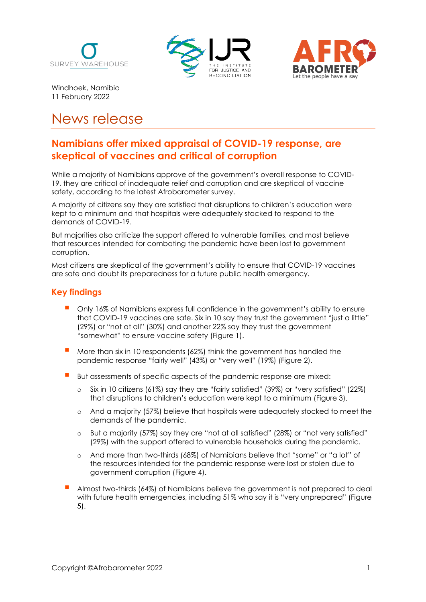





Windhoek, Namibia 11 February 2022

# News release

# **Namibians offer mixed appraisal of COVID-19 response, are skeptical of vaccines and critical of corruption**

While a majority of Namibians approve of the government's overall response to COVID-19, they are critical of inadequate relief and corruption and are skeptical of vaccine safety, according to the latest Afrobarometer survey.

A majority of citizens say they are satisfied that disruptions to children's education were kept to a minimum and that hospitals were adequately stocked to respond to the demands of COVID-19.

But majorities also criticize the support offered to vulnerable families, and most believe that resources intended for combating the pandemic have been lost to government corruption.

Most citizens are skeptical of the government's ability to ensure that COVID-19 vaccines are safe and doubt its preparedness for a future public health emergency.

## **Key findings**

- Only 16% of Namibians express full confidence in the government's ability to ensure that COVID-19 vaccines are safe. Six in 10 say they trust the government "just a little" (29%) or "not at all" (30%) and another 22% say they trust the government "somewhat" to ensure vaccine safety (Figure 1).
- More than six in 10 respondents (62%) think the government has handled the pandemic response "fairly well" (43%) or "very well" (19%) (Figure 2).
- But assessments of specific aspects of the pandemic response are mixed:
	- o Six in 10 citizens (61%) say they are "fairly satisfied" (39%) or "very satisfied" (22%) that disruptions to children's education were kept to a minimum (Figure 3).
	- o And a majority (57%) believe that hospitals were adequately stocked to meet the demands of the pandemic.
	- o But a majority (57%) say they are "not at all satisfied" (28%) or "not very satisfied" (29%) with the support offered to vulnerable households during the pandemic.
	- o And more than two-thirds (68%) of Namibians believe that "some" or "a lot" of the resources intended for the pandemic response were lost or stolen due to government corruption (Figure 4).
- Almost two-thirds (64%) of Namibians believe the government is not prepared to deal with future health emergencies, including 51% who say it is "very unprepared" (Figure 5).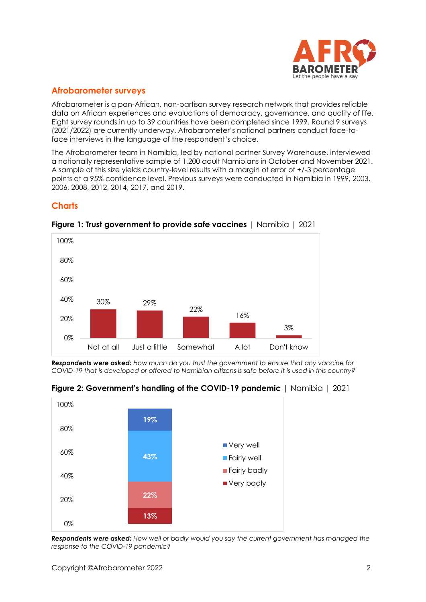

#### **Afrobarometer surveys**

Afrobarometer is a pan-African, non-partisan survey research network that provides reliable data on African experiences and evaluations of democracy, governance, and quality of life. Eight survey rounds in up to 39 countries have been completed since 1999. Round 9 surveys (2021/2022) are currently underway. Afrobarometer's national partners conduct face-toface interviews in the language of the respondent's choice.

The Afrobarometer team in Namibia, led by national partner Survey Warehouse, interviewed a nationally representative sample of 1,200 adult Namibians in October and November 2021. A sample of this size yields country-level results with a margin of error of +/-3 percentage points at a 95% confidence level. Previous surveys were conducted in Namibia in 1999, 2003, 2006, 2008, 2012, 2014, 2017, and 2019.

# **Charts**



**Figure 1: Trust government to provide safe vaccines** | Namibia | 2021

*Respondents were asked: How much do you trust the government to ensure that any vaccine for* COVID-19 that is developed or offered to Namibian citizens is safe before it is used in this country?



**Figure 2: Government's handling of the COVID-19 pandemic** | Namibia | 2021

*Respondents were asked: How well or badly would you say the current government has managed the response to the COVID-19 pandemic?*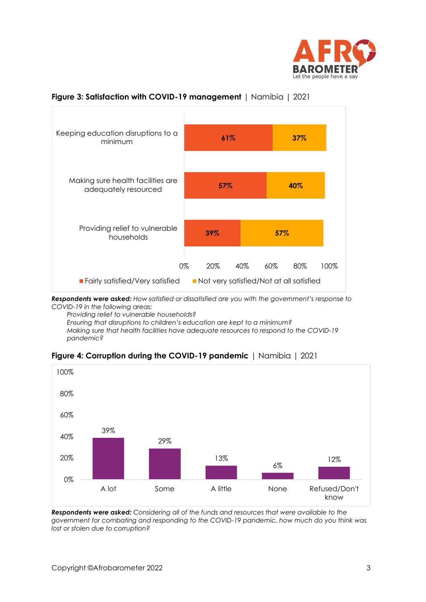



#### **Figure 3: Satisfaction with COVID-19 management** | Namibia | 2021

*Respondents were asked: How satisfied or dissatisfied are you with the government's response to COVID-19 in the following areas:*

*Providing relief to vulnerable households? Ensuring that disruptions to children's education are kept to a minimum? Making sure that health facilities have adequate resources to respond to the COVID-19 pandemic?*





*Respondents were asked: Considering all of the funds and resources that were available to the government for combating and responding to the COVID-19 pandemic, how much do you think was lost or stolen due to corruption?*